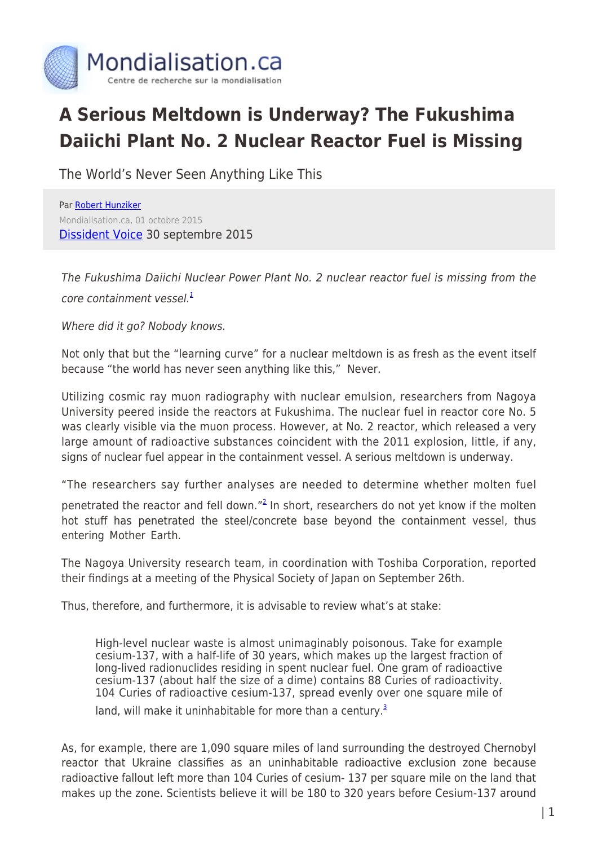

## **A Serious Meltdown is Underway? The Fukushima Daiichi Plant No. 2 Nuclear Reactor Fuel is Missing**

The World's Never Seen Anything Like This

Par [Robert Hunziker](https://www.mondialisation.ca/author/robert-hunziker) Mondialisation.ca, 01 octobre 2015 [Dissident Voice](http://dissidentvoice.org/2015/09/the-worlds-never-seen-anything-like-this/#more-59967) 30 septembre 2015

The Fukushima Daiichi Nuclear Power Plant No. 2 nuclear reactor fuel is missing from the core containment vessel. $<sup>1</sup>$  $<sup>1</sup>$  $<sup>1</sup>$ </sup>

Where did it go? Nobody knows.

Not only that but the "learning curve" for a nuclear meltdown is as fresh as the event itself because "the world has never seen anything like this," Never.

Utilizing cosmic ray muon radiography with nuclear emulsion, researchers from Nagoya University peered inside the reactors at Fukushima. The nuclear fuel in reactor core No. 5 was clearly visible via the muon process. However, at No. 2 reactor, which released a very large amount of radioactive substances coincident with the 2011 explosion, little, if any, signs of nuclear fuel appear in the containment vessel. A serious meltdown is underway.

"The researchers say further analyses are needed to determine whether molten fuel

penetrated the reactor and fell down."<sup>[2](http://dissidentvoice.org/2015/09/the-worlds-never-seen-anything-like-this/#footnote_1_59967)</sup> In short, researchers do not yet know if the molten hot stuff has penetrated the steel/concrete base beyond the containment vessel, thus entering Mother Earth.

The Nagoya University research team, in coordination with Toshiba Corporation, reported their findings at a meeting of the Physical Society of Japan on September 26th.

Thus, therefore, and furthermore, it is advisable to review what's at stake:

High-level nuclear waste is almost unimaginably poisonous. Take for example cesium-137, with a half-life of 30 years, which makes up the largest fraction of long-lived radionuclides residing in spent nuclear fuel. One gram of radioactive cesium-137 (about half the size of a dime) contains 88 Curies of radioactivity. 104 Curies of radioactive cesium-137, spread evenly over one square mile of land, will make it uninhabitable for more than a century.<sup>[3](http://dissidentvoice.org/2015/09/the-worlds-never-seen-anything-like-this/#footnote_2_59967)</sup>

As, for example, there are 1,090 square miles of land surrounding the destroyed Chernobyl reactor that Ukraine classifies as an uninhabitable radioactive exclusion zone because radioactive fallout left more than 104 Curies of cesium- 137 per square mile on the land that makes up the zone. Scientists believe it will be 180 to 320 years before Cesium-137 around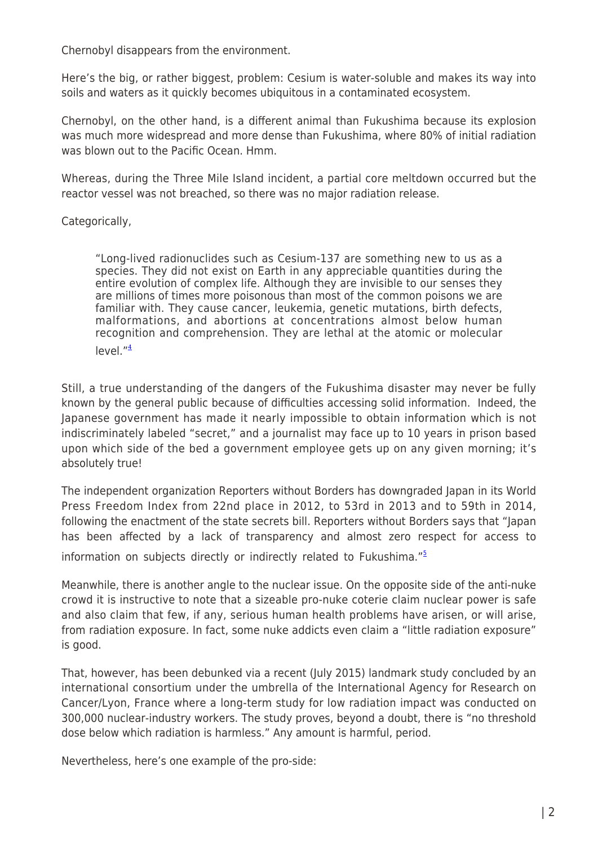Chernobyl disappears from the environment.

Here's the big, or rather biggest, problem: Cesium is water-soluble and makes its way into soils and waters as it quickly becomes ubiquitous in a contaminated ecosystem.

Chernobyl, on the other hand, is a different animal than Fukushima because its explosion was much more widespread and more dense than Fukushima, where 80% of initial radiation was blown out to the Pacific Ocean. Hmm.

Whereas, during the Three Mile Island incident, a partial core meltdown occurred but the reactor vessel was not breached, so there was no major radiation release.

## Categorically,

"Long-lived radionuclides such as Cesium-137 are something new to us as a species. They did not exist on Earth in any appreciable quantities during the entire evolution of complex life. Although they are invisible to our senses they are millions of times more poisonous than most of the common poisons we are familiar with. They cause cancer, leukemia, genetic mutations, birth defects, malformations, and abortions at concentrations almost below human recognition and comprehension. They are lethal at the atomic or molecular level."[4](http://dissidentvoice.org/2015/09/the-worlds-never-seen-anything-like-this/#footnote_3_59967)

Still, a true understanding of the dangers of the Fukushima disaster may never be fully known by the general public because of difficulties accessing solid information. Indeed, the Japanese government has made it nearly impossible to obtain information which is not indiscriminately labeled "secret," and a journalist may face up to 10 years in prison based upon which side of the bed a government employee gets up on any given morning; it's absolutely true!

The independent organization Reporters without Borders has downgraded Japan in its World Press Freedom Index from 22nd place in 2012, to 53rd in 2013 and to 59th in 2014, following the enactment of the state secrets bill. Reporters without Borders says that "Japan has been affected by a lack of transparency and almost zero respect for access to

information on subjects directly or indirectly related to Fukushima."<sup>[5](http://dissidentvoice.org/2015/09/the-worlds-never-seen-anything-like-this/#footnote_4_59967)</sup>

Meanwhile, there is another angle to the nuclear issue. On the opposite side of the anti-nuke crowd it is instructive to note that a sizeable pro-nuke coterie claim nuclear power is safe and also claim that few, if any, serious human health problems have arisen, or will arise, from radiation exposure. In fact, some nuke addicts even claim a "little radiation exposure" is good.

That, however, has been debunked via a recent (July 2015) landmark study concluded by an international consortium under the umbrella of the International Agency for Research on Cancer/Lyon, France where a long-term study for low radiation impact was conducted on 300,000 nuclear-industry workers. The study proves, beyond a doubt, there is "no threshold dose below which radiation is harmless." Any amount is harmful, period.

Nevertheless, here's one example of the pro-side: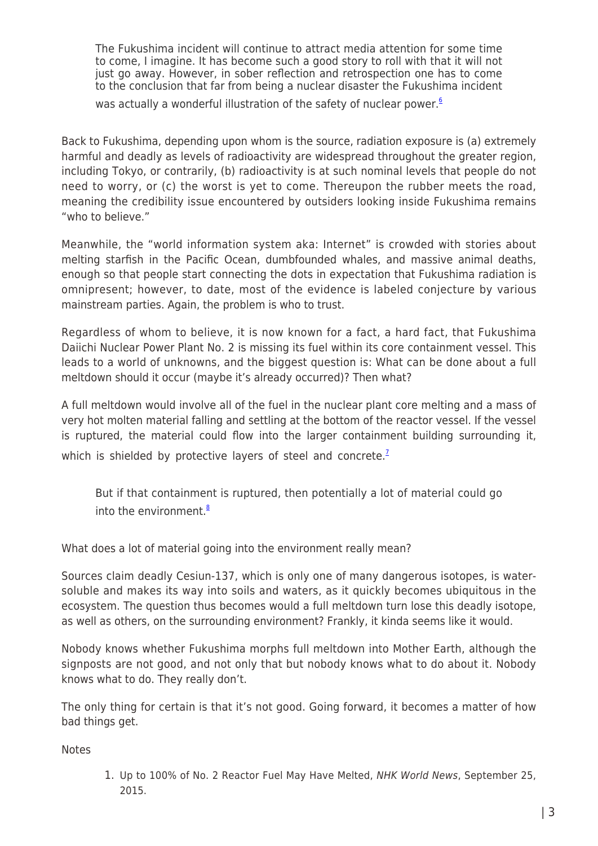The Fukushima incident will continue to attract media attention for some time to come, I imagine. It has become such a good story to roll with that it will not just go away. However, in sober reflection and retrospection one has to come to the conclusion that far from being a nuclear disaster the Fukushima incident

was actually a wonderful illustration of the safety of nuclear power.<sup>[6](http://dissidentvoice.org/2015/09/the-worlds-never-seen-anything-like-this/#footnote_5_59967)</sup>

Back to Fukushima, depending upon whom is the source, radiation exposure is (a) extremely harmful and deadly as levels of radioactivity are widespread throughout the greater region, including Tokyo, or contrarily, (b) radioactivity is at such nominal levels that people do not need to worry, or (c) the worst is yet to come. Thereupon the rubber meets the road, meaning the credibility issue encountered by outsiders looking inside Fukushima remains "who to believe."

Meanwhile, the "world information system aka: Internet" is crowded with stories about melting starfish in the Pacific Ocean, dumbfounded whales, and massive animal deaths, enough so that people start connecting the dots in expectation that Fukushima radiation is omnipresent; however, to date, most of the evidence is labeled conjecture by various mainstream parties. Again, the problem is who to trust.

Regardless of whom to believe, it is now known for a fact, a hard fact, that Fukushima Daiichi Nuclear Power Plant No. 2 is missing its fuel within its core containment vessel. This leads to a world of unknowns, and the biggest question is: What can be done about a full meltdown should it occur (maybe it's already occurred)? Then what?

A full meltdown would involve all of the fuel in the nuclear plant core melting and a mass of very hot molten material falling and settling at the bottom of the reactor vessel. If the vessel is ruptured, the material could flow into the larger containment building surrounding it,

which is shielded by protective layers of steel and concrete. $<sup>7</sup>$  $<sup>7</sup>$  $<sup>7</sup>$ </sup>

But if that containment is ruptured, then potentially a lot of material could go into the environment. $8$ 

What does a lot of material going into the environment really mean?

Sources claim deadly Cesiun-137, which is only one of many dangerous isotopes, is watersoluble and makes its way into soils and waters, as it quickly becomes ubiquitous in the ecosystem. The question thus becomes would a full meltdown turn lose this deadly isotope, as well as others, on the surrounding environment? Frankly, it kinda seems like it would.

Nobody knows whether Fukushima morphs full meltdown into Mother Earth, although the signposts are not good, and not only that but nobody knows what to do about it. Nobody knows what to do. They really don't.

The only thing for certain is that it's not good. Going forward, it becomes a matter of how bad things get.

Notes

1. Up to 100% of No. 2 Reactor Fuel May Have Melted, NHK World News, September 25, 2015.